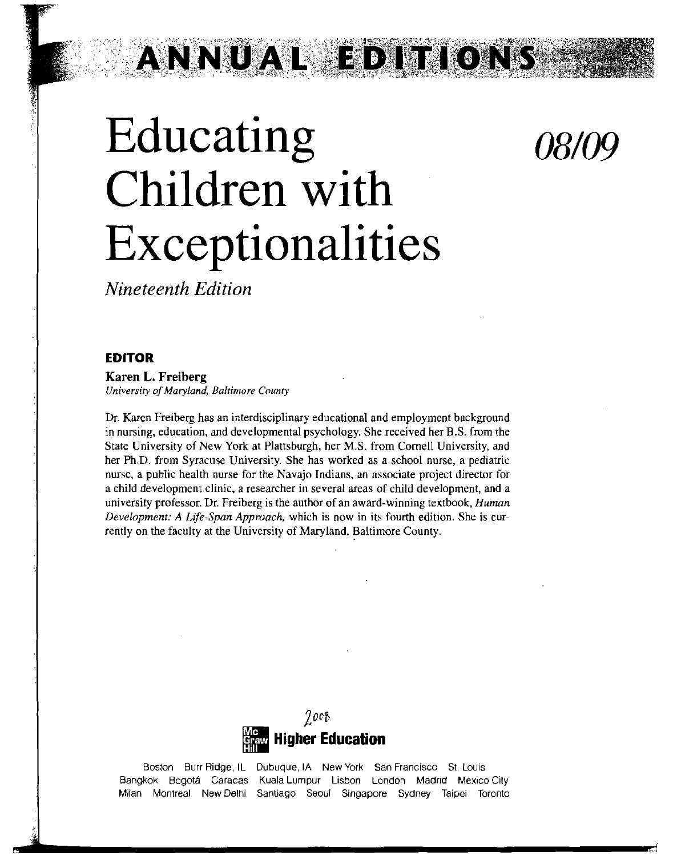## ()87

# Educating Children with Exceptionalities

ANNUAL EDITIONS

*Nineteenth Edition* 

#### I **EDITOR**

**Karen L. Freiberg**  *Universitj of Maryland, Baltimore Cowry* 

Dr. Karen Freiberg has an interdisciplinary educational and employment background in nursing, education, and developmental psychology. She received her B.S. from the State University of New York at Plattsburgh, her M.S. from Cornell University, and her Ph.D. from Syracuse University. She has worked as a school nurse, a pediatric nurse, a public health nurse for the Navajo Indians, **an** associate project director for a child development clinic, a researcher in several areas of child development, and a university professor. Dr. Freiberg is the author of an award-winning textbook, *Human Development: A Life-Span Approach,* which is now in its fourth edition. She is currently on the faculty at the University of Maryland, Baltimore County.



Boston Burr Ridge, lL Dubuque, lA New York San Francisco St. Louis Bangkok Bogotá Caracas KualaLumpur Lisbon London Madrid MexicoCity Milan Montreal NewDelhi Santiago Seoul Singapore Sydney Taipei Toronto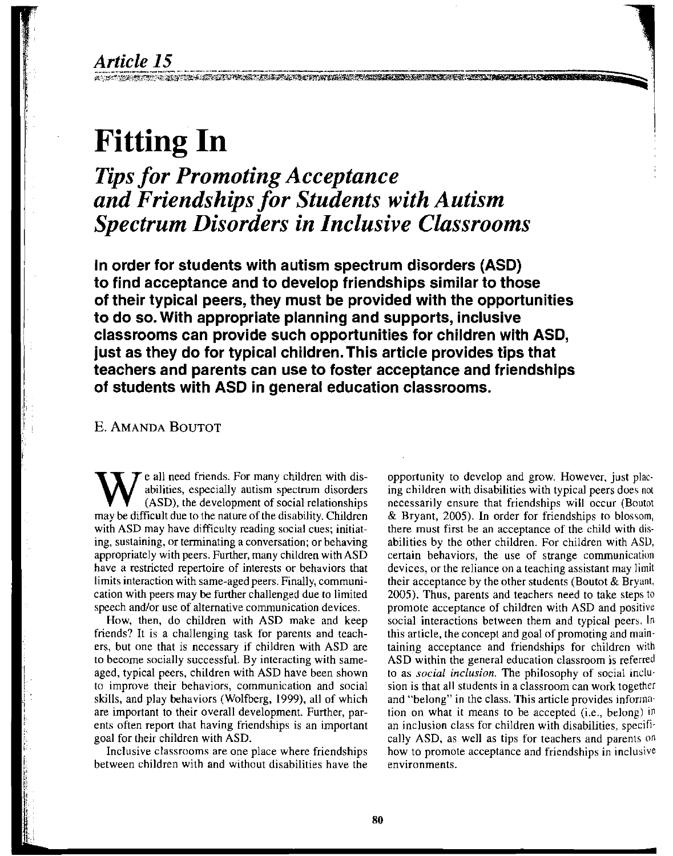## **Fitting In**

*Tips for Promoting Acceptance*   $and$  Friendships for Students with Autism **Spectrum Disorders in Inclusive Classrooms** 

**In order for students with autism spectrum disorders (ASD) to find acceptance and to develop friendships similar to those of their typical peers, they must be provided with the opportunities to do so. With appropriate planning and supports, inclusive classrooms can provide such opportunities for children with ASD, just as they do for typical children.This article provides tips that teachers and parents can use to foster acceptance and friendships of students with ASD in general education classrooms.** 

#### E. AMANDA BOUTOT

 $\frac{1}{2}$ 

 $\mathbf{W}$  e all need friends. For many children with dis-<br>abilities, especially autism spectrum disorders<br>may be difficult due to the nature of the disability. Children abilities, especially autism spectrum disorders (ASD), the development of social relationships may be difficult due to the nature of the disability. Children with ASD may have difficulty reading social cues; initiating, sustaining, or terminating a conversation; or behaving appropriately with peers. Further, many children with ASD have a restricted repertoire of interests or behaviors that limits interaction with same-aged peers. Finally, communication with peers may be further challenged due to limited speech and/or use of alternative communication devices.

How, then, do children with ASD make and keep friends? It is a challenging task for parents and teachers, but one that is necessary if children with ASD are to become socially successful. By interacting with sameaged, typical peers, children with ASD have been shown to improve their behaviors, communication and social skills, and play behaviors (Wolfberg, 1999), all of which are important to their overall development. Further, parents often report that having friendships is an important goal for their children with ASD.

Inclusive classrooms are one place where friendships between children with and without disabilities have the

opportunity to develop and grow. However, just placing children with disabilities with typical peers does not necessarily ensure that friendships will occur (Boutot & Bryant, 2005). In order for friendships to bloscom, there must first be an acceptance of the child with disabilities by the other children. For children with **ASU,**  certain behaviors, the use of strange communication devices, or the reliance on a teaching assistant may limit their acceptance by the other students (Boutot  $\&$  Bryant, 2005). Thus, parents and teachers need to take steps to promote acceptance of children with ASD and positive social interactions between them and typical peers. In this article, the concept and goal of promoting and maintaining acceptance and friendships for children with ASD within the general education classroom is referred to as *social inclusion.* The philosophy of social inclusion is that all students in a classroom can work together and "belong" in the class. This article provides information on what it means to be accepted (i.e., belong) in an inclusion class for children with disabilities, specifically ASD, as well as tips for teachers and parents **On**  how to promote acceptance and friendships in inclusive environments.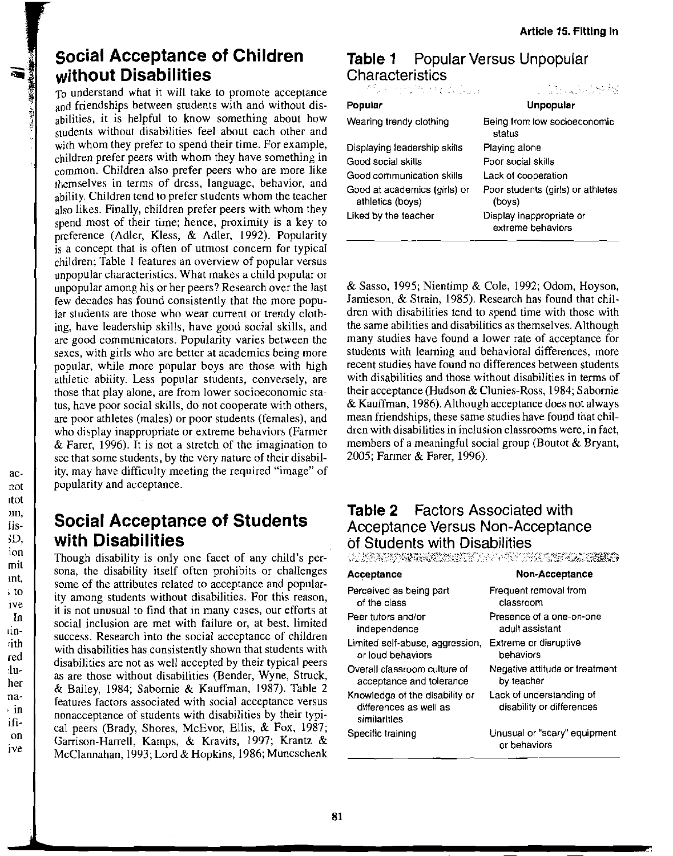## **Social Acceptance of Children without Disabilities**

To understand what it will take to promote acceptance and friendships between students with and without disabilities, it is helpful to know something about how students without disabilities feel about each other and with whom they prefer to spend their time. For example, children prefer peers with whom they have something in ~ommon. Children also prefer peers who are more like themselves in terms of dress, language, behavior, and ability. Children tend to prefer students whom the teacher also likes. Finally, children prefer peers with whom they spend most of their time; hence, proximity is a key to preference (Adler, Kless, & Adler, 1992). Popularity is a concept that is often of utmost concern for typical children: Table 1 features an overview of popular versus unpopular characteristics. What makes a child popular or unpopular among his or her peers? Research over the last few decades has found consistently that the more popular students are those who wear current or trendy clothing, have leadership skills, have good social skills, and are good communicators. Popularity varies between the sexes, with girls who are better at academics being more popular, while more popular boys arc those with high athletic ability. Less popular students, conversely, are those that play alone, are from lower socioeconomic status, have poor social skills, do not cooperate with others, are poor athletes (males) or poor students (females), and who display inappropriate or extreme behaviors (Farmer & Farer, 1996). It is not a stretch of the imagination to see that some students, by the very nature of their disability, may have difficulty meeting the required "image" of popularity and acceptance.

## **Social Acceptance of Students with Disabilities**

Though disability is only one facet of any child's persona, the disability itself often prohibits or challenges some of the attributes related to acceptance and popularity among students without disabilities. For this reason, it is not unusual to find that in many cases, our efforts at social inclusion are met with failure or, at best, limited success. Research into the social acceptance of children with disabilities has consistently shown that students with disabilities are not as well accepted by their typical peers as are those without disabilities (Bender, Wyne, Struck, & Bailey, 1984; Sabornie & Kauffman, 1987). Table 2 features factors associated with social acceptance versus nonacceptance of students with disabilities by their typical peers (Brady, Shores, McEvor, Ellis, & Fox, 1987; Garrison-Harrell, Kamps, & Kravits, 1997; Krantz & McClannahan, 1993; Lord & Hopkins, 1986; Muncschenk

### Table 1 Popular Versus Unpopular Characteristics

| UTRIQUUTORU<br>of the state of the first product of the state of the state of the state of the state of the state of the state of the state of the state of the state of the state of the state of the state of the state of the state of the | TEC AND LOCAL SERVER                        |
|-----------------------------------------------------------------------------------------------------------------------------------------------------------------------------------------------------------------------------------------------|---------------------------------------------|
| Popular                                                                                                                                                                                                                                       | <b>Unpopular</b>                            |
| Wearing trendy clothing                                                                                                                                                                                                                       | Being from low socioeconomic<br>status      |
| Displaying leadership skills                                                                                                                                                                                                                  | Playing alone                               |
| Good social skills                                                                                                                                                                                                                            | Poor social skills                          |
| Good communication skills                                                                                                                                                                                                                     | Lack of cooperation                         |
| Good at academics (girls) or<br>athletics (boys)                                                                                                                                                                                              | Poor students (girls) or athletes<br>(bovs) |

Liked by the teacher Display inappropriate or extreme behaviors

& Sasso, 1995; Nientimp & Cole: 1992; Odom, Hoyson, Jamieson, & Strain, 1985). Research has found that children with disabilities tend to spend time with those with the same abilities and disabilities as themselves. Although many studies have found a lower rate of acceptance for students with learning and behavioral differences, more recent studies have found no differences between students with disabilities and those without disabilities in terms of their acceptance (Hudson & Clunies-Ross, 1984; Sabornie & Kauffman, 1986). Although acceptance does not always mean Friendships, these same studies have found that children with disabilities in inclusion classrooms were, in fact, members of a meaningful social group (Boutot & Bryant, 2005; Farmer & Farer, 1996).

#### Table **2** Factors Associated with Acceptance Versus Non-Acceptance of Students with Disabilities

| Acceptance                                                               | Non-Acceptance                                        |
|--------------------------------------------------------------------------|-------------------------------------------------------|
| Perceived as being part                                                  | Frequent removal from                                 |
| of the class                                                             | classroom                                             |
| Peer tutors and/or                                                       | Presence of a one-on-one                              |
| independence                                                             | adult assistant                                       |
| Limited self-abuse, aggression,                                          | Extreme or disruptive                                 |
| or loud behaviors                                                        | behaviors                                             |
| Overall classroom culture of                                             | Negative attitude or treatment                        |
| acceptance and tolerance                                                 | by teacher                                            |
| Knowledge of the disability or<br>differences as well as<br>similarities | Lack of understanding of<br>disability or differences |
| Specific training                                                        | Unusual or "scary" equipment<br>or behaviors          |
|                                                                          |                                                       |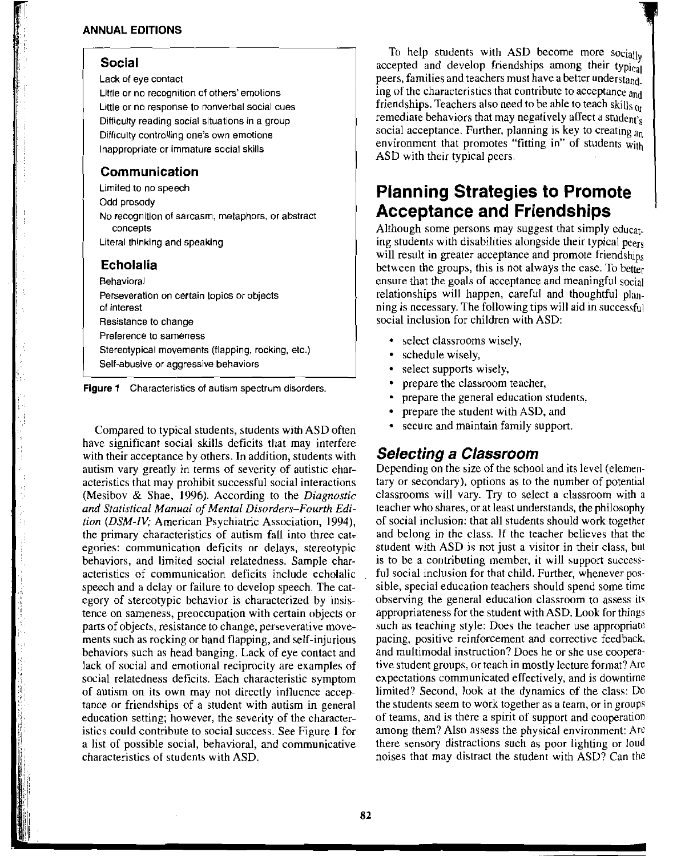# **ANNUAL EDITIONS**  --

#### **Social**

I

Lack of eye contact

Little or no recognition of others'emotions Little or no response to nonverbal social cues Difficulty reading social situations in a group Difficulty controlling one's own emotions Inappropriate or immature social skills

#### **Communication**

Limited to no speech

Odd prosody

No recognition of sarcasm, metaphors, or abstract concepts

Literal thinking and speaking

#### **Echolalia**

Behavioral

Perseveration on certain topics or objects of interest Resistance to change Preference to sameness Stereotypical movements (flapping, rocking, etc.) Self-abusive or aggressive behaviors

Figure 1 Characteristics of autism spectrum disorders.

Compared to typical students, students with ASD often have significant social skills deficits that may interfere with their acceptance by others. In addition, students with autism vary greatly in terms of severity of autistic characteristics that may prohibit successful social interactions (Mesibov & Shae, 1996). According to the Diagnostic and Statistical Manuai of Mental Disorders-Fourth Edition (DSM-IV; American Psychiatric Association, 1994), the primary characteristics of autism fall into three cat. egories: communication deficits or delays, stereotypic behaviors, and limited social relatedness. Sample characteristics of communication deficits include echolalic speech and a delay or failure to develop speech. The category of stereotypic behavior is characterized by insistence on sameness, preoccupation with certain objects or parts of objects, resistance to change, perseverative movements such as rocking or hand flapping, and self-injurious behaviors such as head banging. Lack of eye contact and lack of social and emotional reciprocity are examples of social relatedness deficits. Each characteristic symptom of autism on its own may not directly influence acceptance or friendships of a student with autism in general education setting; however, the severity of the characteristics could contribute to social success. See Figure 1 for a list of possible social, behavioral, and communicative characteristics of students with ASD.

To help students with ASD become more socially accepted and develop friendships among their typical peers, families and teachers must have a better understand. ing of the characteristics that contribute to acceptance and friendships. Teachers also need to be able to teach skills  $\alpha_r$ remediate behaviors that may negatively affect a student's social acceptance. Further, planning is key to creating  $a_n$ environment that promotes "fitting in" of students with ASD with their typical peers.

## **Planning Strategies to Promote Acceptance and Friendships**

Although some persons may suggest that simply educat. ing students with disabilities alongside their typical peers will result in greater acceptance and promote friendships between the groups, this is not always the case. To better ensure that the goals of acceptance and meaningful social relationships will happen, careful and thoughtful planning is necessary. The following tips will aid in successful social inclusion for children with ASD:

- select classrooms wisely,
- schedule wisely,  $\bullet$
- select supports wisely,
- prepare the classroom teacher,
- prepare the general education students,
- prepare the student with ASD, and
- secure and maintain family support.

#### **Selecting a Classroom**

Depending on the size of the school and its level (elernentary or secondary), options as to the number of potential classrooms will vary. Try to select a classroom with a teacher who shares, or at least understands, the philosophy of social inclusion: that all students should work together and belong in the class. If the teacher believes that the student with ASD is not just a visitor in their class, but is to be a contributing member, it will support successful social inclusion for that child. Further, whenever possible, special education teachers should spend some time observing the general education classroom to assess its appropriateness for the student with ASD. Look for things such as teaching style: Does the teacher use appropriate pacing, positive reinforcement and corrective feedback, and multimodal instruction? Does he or she use cooperative student groups, or teach in mostly lecture format? Are expectations communicated effectively, and is downtime limited? Second, look at the dynamics of the class: DO the students seem to work together as a team, or in groups of teams, and is there a spirit of support and cooperation among them? Also assess the physical environment: Are there sensory distractions such as poor lighting or loud noises that may distract the student with ASD? Can the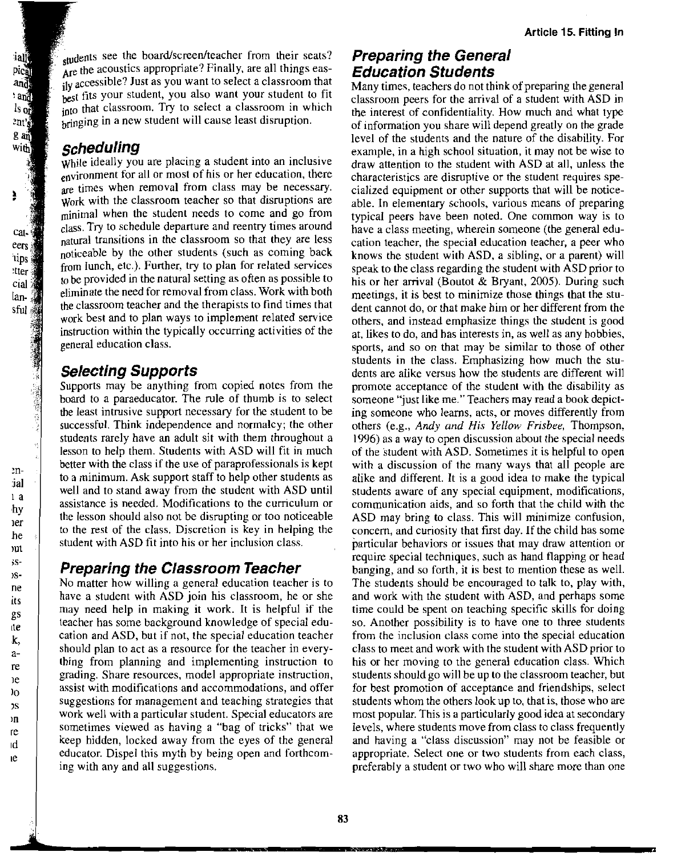students see the board/screen/teacher from their seats? Are the acoustics appropriate? Finally, are all things easily accessible? Just as you want to select a classroom that best fits your student, you also want your student to fit into that classroom. Try to select a classroom in which bringing in a new student will cause least disruption.

#### **scheduling**

iali pical and and  $\log$  $-$ ut  $\hat{\mathbf{s}}$  $8 \text{ and}$ 

with

ţ

cateers **1ips** tter: cial  $\begin{bmatrix} \n\text{lan} \\ \n\text{sful} \n\end{bmatrix}$ 

> あまい Ţ

while ideally you are placing a student into an inclusive environment for all or most of his or her education, there are times when removal from class may be necessary. Work with the classroom teacher so that disruptions are minimal when the student needs to come and go from class. Try to schedule departure and reentry times around natural transitions in the classroom so that they are less noticeable by the other students (such as coming back from lunch, etc.). Further, try to plan for related services  $t_0$  be provided in the natural setting as often as possible to eliminate the need for removal from class. Work with both the classroom teacher and the therapists to find times that work best and to plan ways to implement related service instruction within the typically occurring activities of the general education class.

#### **Selecting Supports**

is-ISne its gs ite k, are le  $\overline{)0}$  $2S$ In re d te

 $m$ ial  $1a$ hy er he ut

Supports may be anything from copied notes from the board to a paraeducator. The rule of thumb is to select the least intrusive support necessary for the student to be successful. Think independence and normalcy; the other students rarely have an adult sit with them throughout a lesson to help them. Students with ASD will fit in much better with the class if the use of paraprofessionals is kept to a minimum. Ask support staff to help other students as well and to stand away from the student with ASD until assistance is needed. Modifications to the curriculum or the lesson should also not be disrupting or too noticeable to the rest of the class. Discretion is key in helping the student with ASD fit into his or her inclusion class.

#### **Preparing the Classroom Teacher**

No matter how willing a general education teacher is to have a student with ASD join his classroom, he or she may need help in making it work. It is helpful if the leacher has some background knowledge of special education and ASD, but if not, the special education teacher should plan to act as a resource for the teacher in everything from planning and implementing instruction to grading. Share resources, model appropriate instruction, assist with modifications and accommodations, and offer suggestions for management and teaching strategies that work well with aparticular student. Special educators are sometimes viewed as having a "bag of tricks" that we keep bidden, locked away from the eyes of the general educator. Dispel this myth by being open and forthcoming with any and all suggestions.

#### **Preparing the General Education Students**

Many times, teachers do not think of preparing the general classroom peers for the arrival of a student with ASD in the interest of confidentiality. How much and what type of information you share will depend greatly on the grade level of the students and the nature of the disability. For example, in a high school situation, it may not be wise to draw attention ro the student with ASD at all, unless the characteristics are disruptive or the student requires specialized equipment or other supports that will be noticeable. In elementary schools, various means of preparing typical peers have been noted. One common way is to have a class meeting, wherein someone (the general education teacher, the special education teacher, a peer who knows the student with ASD, a sibling, or a parent) will speak to the class regarding the student with ASD prior to his or her arrival (Boutot & Bryant, 2005). During such meetings, it is best to minimize those things that the student cannot do, or that make him or her different from the others, and instead emphasize things the student is good at, likes to do, and has interests in, as well as any hobbies, sports, and so on that may be similar to those of other students in the class. Emphasizing how much the students are alike versus how the students are different will promote acceptance of the student with the disability as someone "just like me." Teachers may read a book depicting someone who learns, acts, or moves differently from others (e.g., *Andy and His Yellow Frisbee*, Thompson, 1996) as a way to open discussion about the special needs of the student with ASD. Sometimes it is helpful to open with a discussion of the many ways that all people are alike and different. It is a good idea to make the typical students aware of any special equipment, modifications, communication aids, and so forth that the child with the ASD may bring to class. This will minimize confusion, concern, and curiosity that first day. If the child has some particular behaviors or issues that may draw attention or require special techniques, such as hand flapping or head banging, and so forth, it is best to mention these as well. The students should be encouraged to talk to, play with, and work with the student with ASD, and perhaps some time could be spent on teaching specific skills for doing so. Another possibility is to have one to three students from the inclusion class come into the special education class to meet and work with the student with ASD prior to his or her moving to the general education class. Which students should go will be up to the classroom teacher, but for best promotion of acceptance and friendships, select students whom the others lookup to, that is, those who are most popular. This is a particularly good idea at secondary levels, where students move from class to class frequently and having a "class discussion" may not be feasible or appropriate. Select one or two students from each class, preferably a student or two who will share more than one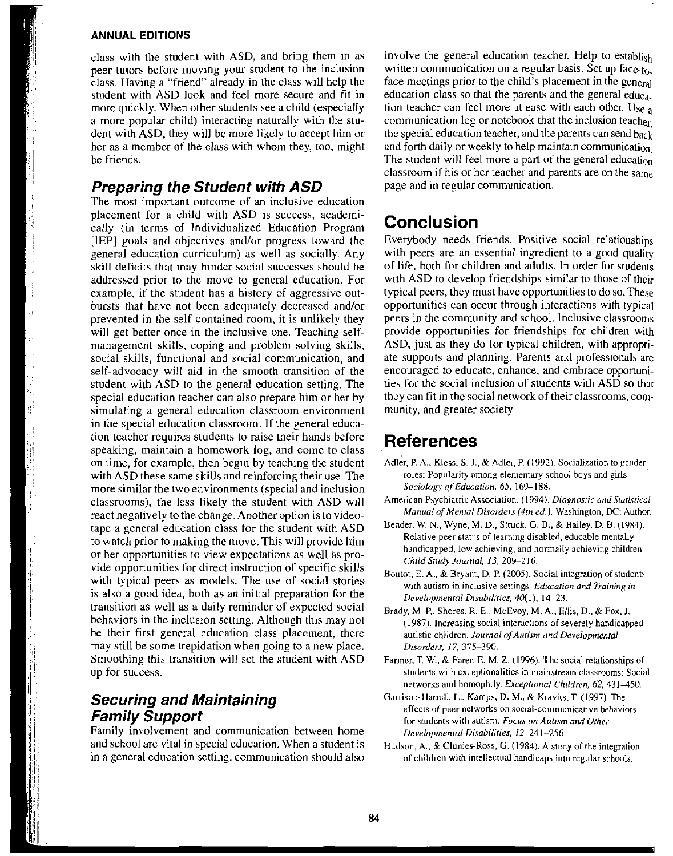#### **ANNUAL EDITIONS**

I., !!

I

! #I

!!<br>!!<br>!! ,,I! ,  $\frac{1}{2}$ ,i I,!, !,!:!

class with the student with ASD, and bring them in as peer tutors before moving your student to the inclusion class. Having a "friend" already in the class will help the student with ASD look and feel more secure and fit in more quickly. When other students see a child (especially a more popular child) interacting naturally with the student with ASD, they will be more likely to accept him or her as a member of the class with whom they, too, might be friends.

#### **Preparing the Student with ASD**

The most important outcome of an inclusive education placement for a child with ASD is success, academically (in terms of Individualized Education Program [IEP] goals and objectives andlor progress toward the general education curriculum) as well as socially. Any skill deficits that may hinder social successes should be addressed prior to the move to general education. For example, if the student has a history of aggressive outbursts that have not been adequately decreased and/or prevented in the self-contained room, it is unlikely they will get better once in the inclusive one. Teaching selfmanagement skills, coping and problem solving skills, social skills, functional and social communication, and self-advocacy will aid in the smooth transition of the student with ASD to the general education setting. The special education teacher can also prepare him or her by simulating a general education classroom environment in the special education classroom. If the general education teacher requires students to raise their hands before speaking, maintain a homework log, and come to class on time, for example, then begin by teaching the student with ASD these same skills and reinforcing their use. The more similar the two environments (special and inclusion classrooms), the less likely the student with ASD will react negatively to the change. Another option is to videotape a general education class for the student with ASD to watch prior to making the move. This will provide him or her opportunities to view expectations as well as provide opportunities for direct instruction of specific skills with typical peers as models. The use of social stories is also a good idea, both as an initial preparation for the transition as well as a daily reminder of expected social behaviors in the inclusion setting. Although this may not be their first general education class placement, there may still be some trepidation when going to a new place. Smoothing this transition will set the student with ASD up for success.

Family involvement and communication between home *Developmental Disabilities*, 12, 241-256. and school are vital in special education. When a student is Hudson, A., & Clunies-Ross, G. (1984). A study of the integration in a general education setting, communication should also of children with intellectual handica in a general education setting, communication should also

involve the general education teacher. Help to establish written communication on a regular basis. Set up face-to. face meetings prior to the child's placement in the general education class so that the parents and the general educa. tion teacher can feel more at ease with each other. Use  $a$ communication log or notebook that the inclusion teacher, the special education teacher, and the parents can send back and forth daily or weekly to help maintain communication. The student will feel more a part of the general education classroom if his or her teacher and parents are on the same page and in regular communication.

### **Conclusion**

Everybody needs friends. Positive social relationships with peers are an essential ingredient to a good quality of life, both for children and adults. In order for students with ASD to develop friendships similar to those of their typical peers, they must have opportunities to do so. These opportunities can occur through interactions with typical peers in the community and school. inclusive classrooms provide opportunities for friendships for children with ASD, just as they do for typical children, with appropriate supports and planning. Parents and professionals are encouraged to educate, enhance, and embrace opportunities for the social inclusion of students with ASD so that they can fit in the social network of their classrooms, community, and greater society.

#### **References**

- Adler, **A,,** Kless, **S. 1..** & Adler, P (1992). Socialization to gcnder roles: Popularity among elementary schoul boys and girls. Sociology of *Education*, 65, 169-188.
- American Psychiatric Association. (1994). *Diagnostic and Statistical Marlval ofMenral Disorders (41h ed* ). Washington. DC: Author.
- Bender, W. N., Wyne, M. D., Struck, G. B., & Bailey, D. B. (1984). Relative peer status of learning disabled, educable mentally handicapped, low achieving, and normally achieving children. *Child* **Dudy** *Journal,* 13,209-216.
- Boutot, E. A., & Bryant, D. P. (2005). Social integration of students with autism in inclusive settings. *Education and Training in Derelopmenral Dis<rbiliries,* 441) 1623.
- Brady, M P., Shores, R. E.. McEvoy, M. **A.,** Ellis, D.. & Fox, I. (1987). Increasing social interactions of severely handicapped autistic children. Journal of Autism and Developmental *Disunler.~.* 17, 375-390.
- Farmer, T. W., & Farer, E. M. Z. (1996). The social relationships of students with exceptionalities in mainstream classrooms: Social networks and homophily. *Exceptional Children*, 62, 431-450.
- **Securing and Maintaining**<br> **Family Support Familger Ramison-Hanell, L., Kamps, D. M., & Kravits, T. (1997). The**<br>
for students with autism. Focus on Autism and Other for students with autism. Focus on Autism and Other
	-